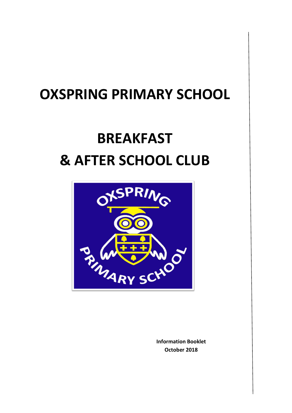# **OXSPRING PRIMARY SCHOOL**

# **BREAKFAST & AFTER SCHOOL CLUB**



**Information Booklet October 2018**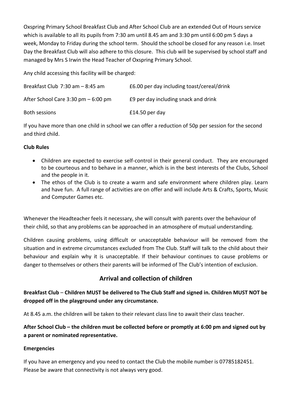Oxspring Primary School Breakfast Club and After School Club are an extended Out of Hours service which is available to all its pupils from 7:30 am until 8.45 am and 3:30 pm until 6:00 pm 5 days a week, Monday to Friday during the school term. Should the school be closed for any reason i.e. Inset Day the Breakfast Club will also adhere to this closure. This club will be supervised by school staff and managed by Mrs S Irwin the Head Teacher of Oxspring Primary School.

Any child accessing this facility will be charged:

| Breakfast Club $7:30$ am $-8:45$ am    | £6.00 per day including toast/cereal/drink |
|----------------------------------------|--------------------------------------------|
| After School Care $3:30$ pm $-6:00$ pm | E9 per day including snack and drink       |
| Both sessions                          | $£14.50$ per day                           |

If you have more than one child in school we can offer a reduction of 50p per session for the second and third child.

#### **Club Rules**

- Children are expected to exercise self-control in their general conduct. They are encouraged to be courteous and to behave in a manner, which is in the best interests of the Clubs, School and the people in it.
- The ethos of the Club is to create a warm and safe environment where children play. Learn and have fun. A full range of activities are on offer and will include Arts & Crafts, Sports, Music and Computer Games etc.

Whenever the Headteacher feels it necessary, she will consult with parents over the behaviour of their child, so that any problems can be approached in an atmosphere of mutual understanding.

Children causing problems, using difficult or unacceptable behaviour will be removed from the situation and in extreme circumstances excluded from The Club. Staff will talk to the child about their behaviour and explain why it is unacceptable. If their behaviour continues to cause problems or danger to themselves or others their parents will be informed of The Club's intention of exclusion.

# **Arrival and collection of children**

**Breakfast Club** – **Children MUST be delivered to The Club Staff and signed in. Children MUST NOT be dropped off in the playground under any circumstance.**

At 8.45 a.m. the children will be taken to their relevant class line to await their class teacher.

**After School Club – the children must be collected before or promptly at 6:00 pm and signed out by a parent or nominated representative.**

#### **Emergencies**

If you have an emergency and you need to contact the Club the mobile number is 07785182451. Please be aware that connectivity is not always very good.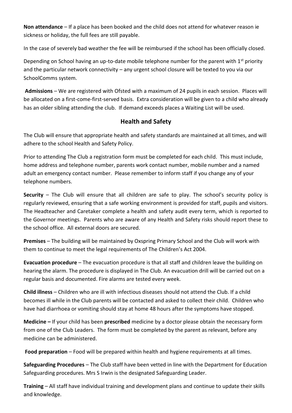**Non attendance** – If a place has been booked and the child does not attend for whatever reason ie sickness or holiday, the full fees are still payable.

In the case of severely bad weather the fee will be reimbursed if the school has been officially closed.

Depending on School having an up-to-date mobile telephone number for the parent with 1<sup>st</sup> priority and the particular network connectivity – any urgent school closure will be texted to you via our SchoolComms system.

**Admissions** – We are registered with Ofsted with a maximum of 24 pupils in each session. Places will be allocated on a first-come-first-served basis. Extra consideration will be given to a child who already has an older sibling attending the club. If demand exceeds places a Waiting List will be used.

# **Health and Safety**

The Club will ensure that appropriate health and safety standards are maintained at all times, and will adhere to the school Health and Safety Policy.

Prior to attending The Club a registration form must be completed for each child. This must include, home address and telephone number, parents work contact number, mobile number and a named adult an emergency contact number. Please remember to inform staff if you change any of your telephone numbers.

**Security** – The Club will ensure that all children are safe to play. The school's security policy is regularly reviewed, ensuring that a safe working environment is provided for staff, pupils and visitors. The Headteacher and Caretaker complete a health and safety audit every term, which is reported to the Governor meetings. Parents who are aware of any Health and Safety risks should report these to the school office. All external doors are secured.

**Premises** – The building will be maintained by Oxspring Primary School and the Club will work with them to continue to meet the legal requirements of The Children's Act 2004.

**Evacuation procedure** – The evacuation procedure is that all staff and children leave the building on hearing the alarm. The procedure is displayed in The Club. An evacuation drill will be carried out on a regular basis and documented. Fire alarms are tested every week.

**Child illness** – Children who are ill with infectious diseases should not attend the Club. If a child becomes ill while in the Club parents will be contacted and asked to collect their child. Children who have had diarrhoea or vomiting should stay at home 48 hours after the symptoms have stopped.

**Medicine –** If your child has been **prescribed** medicine by a doctor please obtain the necessary form from one of the Club Leaders. The form must be completed by the parent as relevant, before any medicine can be administered.

Food preparation – Food will be prepared within health and hygiene requirements at all times.

**Safeguarding Procedures** – The Club staff have been vetted in line with the Department for Education Safeguarding procedures. Mrs S Irwin is the designated Safeguarding Leader.

**Training** – All staff have individual training and development plans and continue to update their skills and knowledge.